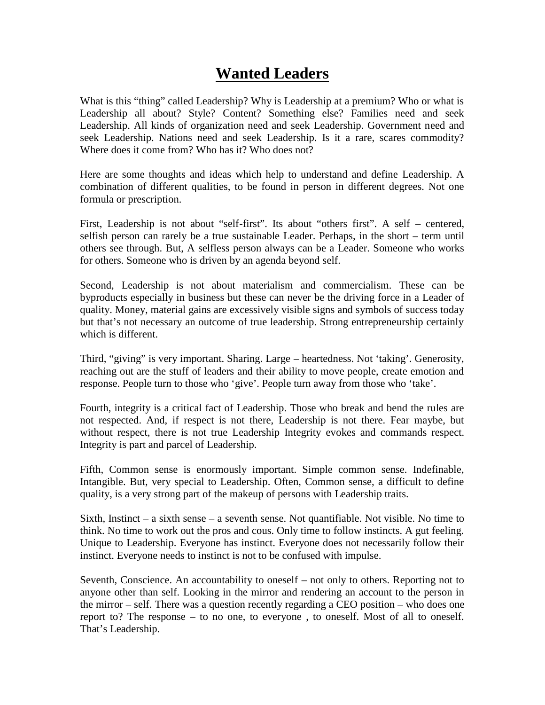## **Wanted Leaders**

What is this "thing" called Leadership? Why is Leadership at a premium? Who or what is Leadership all about? Style? Content? Something else? Families need and seek Leadership. All kinds of organization need and seek Leadership. Government need and seek Leadership. Nations need and seek Leadership. Is it a rare, scares commodity? Where does it come from? Who has it? Who does not?

Here are some thoughts and ideas which help to understand and define Leadership. A combination of different qualities, to be found in person in different degrees. Not one formula or prescription.

First, Leadership is not about "self-first". Its about "others first". A self – centered, selfish person can rarely be a true sustainable Leader. Perhaps, in the short – term until others see through. But, A selfless person always can be a Leader. Someone who works for others. Someone who is driven by an agenda beyond self.

Second, Leadership is not about materialism and commercialism. These can be byproducts especially in business but these can never be the driving force in a Leader of quality. Money, material gains are excessively visible signs and symbols of success today but that's not necessary an outcome of true leadership. Strong entrepreneurship certainly which is different.

Third, "giving" is very important. Sharing. Large – heartedness. Not 'taking'. Generosity, reaching out are the stuff of leaders and their ability to move people, create emotion and response. People turn to those who 'give'. People turn away from those who 'take'.

Fourth, integrity is a critical fact of Leadership. Those who break and bend the rules are not respected. And, if respect is not there, Leadership is not there. Fear maybe, but without respect, there is not true Leadership Integrity evokes and commands respect. Integrity is part and parcel of Leadership.

Fifth, Common sense is enormously important. Simple common sense. Indefinable, Intangible. But, very special to Leadership. Often, Common sense, a difficult to define quality, is a very strong part of the makeup of persons with Leadership traits.

Sixth, Instinct – a sixth sense – a seventh sense. Not quantifiable. Not visible. No time to think. No time to work out the pros and cous. Only time to follow instincts. A gut feeling. Unique to Leadership. Everyone has instinct. Everyone does not necessarily follow their instinct. Everyone needs to instinct is not to be confused with impulse.

Seventh, Conscience. An accountability to oneself – not only to others. Reporting not to anyone other than self. Looking in the mirror and rendering an account to the person in the mirror – self. There was a question recently regarding a CEO position – who does one report to? The response – to no one, to everyone , to oneself. Most of all to oneself. That's Leadership.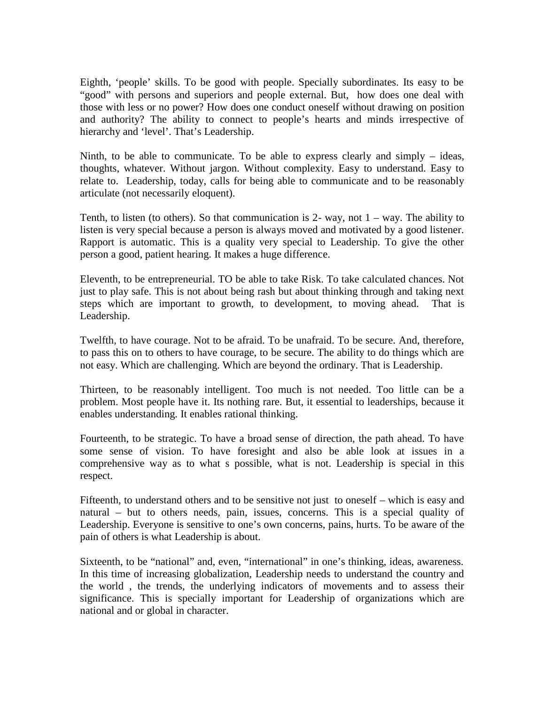Eighth, 'people' skills. To be good with people. Specially subordinates. Its easy to be "good" with persons and superiors and people external. But, how does one deal with those with less or no power? How does one conduct oneself without drawing on position and authority? The ability to connect to people's hearts and minds irrespective of hierarchy and 'level'. That's Leadership.

Ninth, to be able to communicate. To be able to express clearly and simply – ideas, thoughts, whatever. Without jargon. Without complexity. Easy to understand. Easy to relate to. Leadership, today, calls for being able to communicate and to be reasonably articulate (not necessarily eloquent).

Tenth, to listen (to others). So that communication is 2- way, not  $1 - way$ . The ability to listen is very special because a person is always moved and motivated by a good listener. Rapport is automatic. This is a quality very special to Leadership. To give the other person a good, patient hearing. It makes a huge difference.

Eleventh, to be entrepreneurial. TO be able to take Risk. To take calculated chances. Not just to play safe. This is not about being rash but about thinking through and taking next steps which are important to growth, to development, to moving ahead. That is Leadership.

Twelfth, to have courage. Not to be afraid. To be unafraid. To be secure. And, therefore, to pass this on to others to have courage, to be secure. The ability to do things which are not easy. Which are challenging. Which are beyond the ordinary. That is Leadership.

Thirteen, to be reasonably intelligent. Too much is not needed. Too little can be a problem. Most people have it. Its nothing rare. But, it essential to leaderships, because it enables understanding. It enables rational thinking.

Fourteenth, to be strategic. To have a broad sense of direction, the path ahead. To have some sense of vision. To have foresight and also be able look at issues in a comprehensive way as to what s possible, what is not. Leadership is special in this respect.

Fifteenth, to understand others and to be sensitive not just to oneself – which is easy and natural – but to others needs, pain, issues, concerns. This is a special quality of Leadership. Everyone is sensitive to one's own concerns, pains, hurts. To be aware of the pain of others is what Leadership is about.

Sixteenth, to be "national" and, even, "international" in one's thinking, ideas, awareness. In this time of increasing globalization, Leadership needs to understand the country and the world , the trends, the underlying indicators of movements and to assess their significance. This is specially important for Leadership of organizations which are national and or global in character.